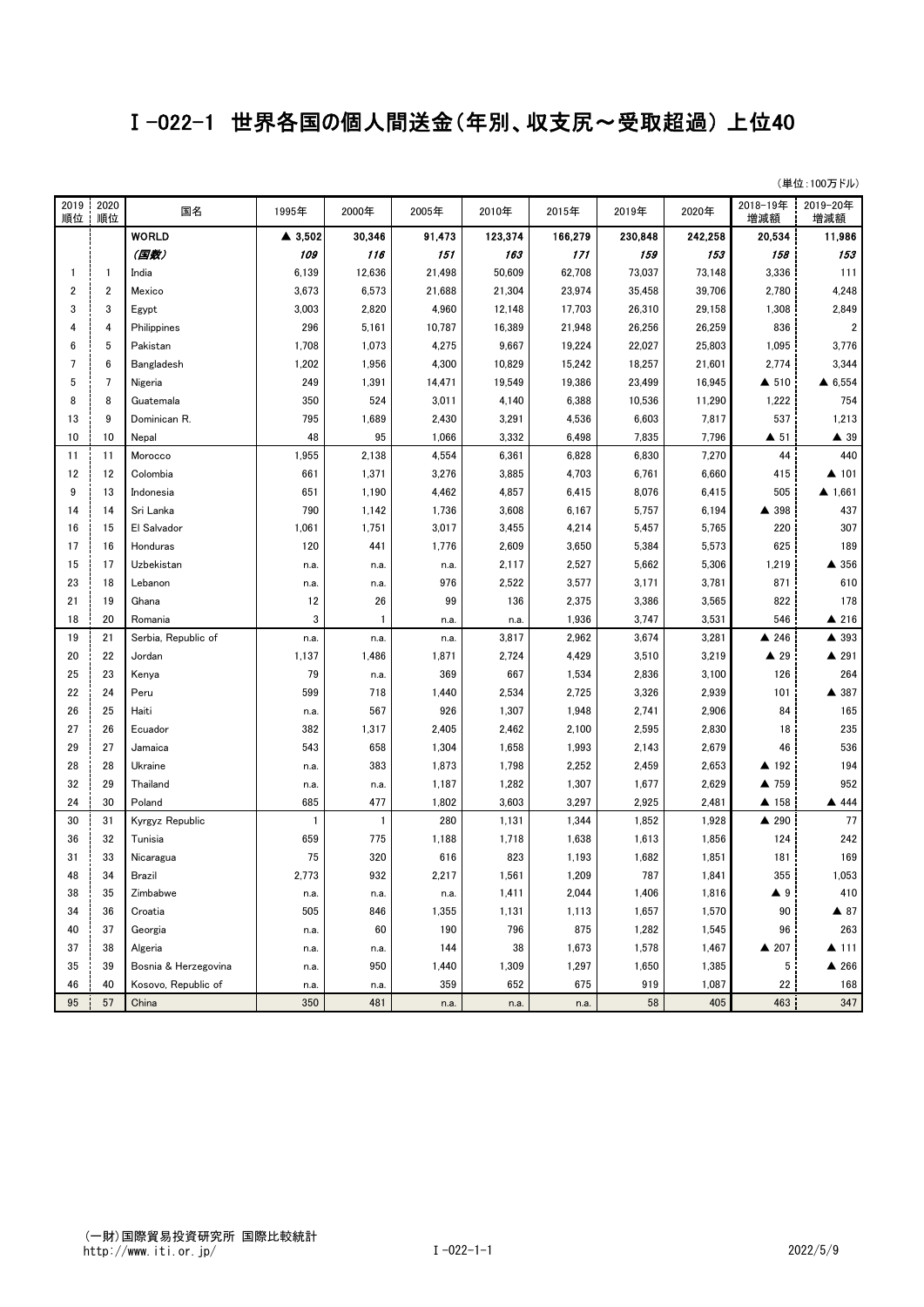## Ⅰ-022-1 世界各国の個人間送金(年別、収支尻~受取超過) 上位40

| (単位:100万ドル) |  |  |
|-------------|--|--|
|             |  |  |

| 2019<br>順位 | 2020<br>順位              | 国名                   | 1995年   | 2000年          | 2005年  | 2010年   | 2015年   | 2019年   | 2020年   | 2018-19年<br>増減額     | 2019-20年<br>増減額         |
|------------|-------------------------|----------------------|---------|----------------|--------|---------|---------|---------|---------|---------------------|-------------------------|
|            |                         | <b>WORLD</b>         | ▲ 3,502 | 30,346         | 91,473 | 123,374 | 166,279 | 230,848 | 242,258 | 20,534              | 11,986                  |
|            |                         | (国数)                 | 109     | 116            | 151    | 163     | 171     | 159     | 153     | 158                 | 153                     |
| 1          | $\mathbf{1}$            | India                | 6,139   | 12,636         | 21,498 | 50,609  | 62,708  | 73,037  | 73,148  | 3,336               | 111                     |
| 2          | $\overline{\mathbf{2}}$ | Mexico               | 3,673   | 6,573          | 21,688 | 21,304  | 23,974  | 35,458  | 39,706  | 2,780               | 4,248                   |
| 3          | 3                       | Egypt                | 3,003   | 2,820          | 4,960  | 12,148  | 17,703  | 26,310  | 29,158  | 1,308               | 2,849                   |
| 4          | $\overline{4}$          | Philippines          | 296     | 5,161          | 10,787 | 16,389  | 21,948  | 26,256  | 26,259  | 836                 | $\overline{\mathbf{c}}$ |
| 6          | 5                       | Pakistan             | 1,708   | 1,073          | 4,275  | 9,667   | 19,224  | 22,027  | 25,803  | 1,095               | 3,776                   |
| 7          | 6                       | Bangladesh           | 1,202   | 1,956          | 4,300  | 10,829  | 15,242  | 18,257  | 21,601  | 2,774               | 3,344                   |
| 5          | 7                       | Nigeria              | 249     | 1,391          | 14,471 | 19,549  | 19,386  | 23,499  | 16,945  | ▲ 510               | ▲ 6,554                 |
| 8          | 8                       | Guatemala            | 350     | 524            | 3,011  | 4,140   | 6,388   | 10,536  | 11,290  | 1,222               | 754                     |
| 13         | 9                       | Dominican R.         | 795     | 1,689          | 2,430  | 3,291   | 4,536   | 6,603   | 7,817   | 537                 | 1,213                   |
| 10         | 10                      | Nepal                | 48      | 95             | 1,066  | 3,332   | 6,498   | 7,835   | 7,796   | $\blacktriangle$ 51 | $\blacktriangle$ 39     |
| 11         | 11                      | Morocco              | 1,955   | 2,138          | 4,554  | 6,361   | 6,828   | 6,830   | 7,270   | 44                  | 440                     |
| 12         | 12                      | Colombia             | 661     | 1,371          | 3,276  | 3,885   | 4,703   | 6,761   | 6,660   | 415                 | ▲ 101                   |
| 9          | 13                      | Indonesia            | 651     | 1,190          | 4,462  | 4,857   | 6,415   | 8,076   | 6,415   | 505                 | 4.661                   |
| 14         | 14                      | Sri Lanka            | 790     | 1,142          | 1,736  | 3,608   | 6,167   | 5,757   | 6,194   | ▲ 398               | 437                     |
| 16         | 15                      | El Salvador          | 1,061   | 1,751          | 3,017  | 3,455   | 4,214   | 5,457   | 5,765   | 220                 | 307                     |
| 17         | 16                      | Honduras             | 120     | 441            | 1,776  | 2,609   | 3,650   | 5,384   | 5,573   | 625                 | 189                     |
| 15         | 17                      | Uzbekistan           | n.a.    | n.a.           | n.a.   | 2,117   | 2,527   | 5,662   | 5,306   | 1,219               | ▲ 356                   |
| 23         | 18                      | Lebanon              | n.a.    | n.a.           | 976    | 2,522   | 3,577   | 3,171   | 3,781   | 871                 | 610                     |
| 21         | 19                      | Ghana                | 12      | 26             | 99     | 136     | 2,375   | 3,386   | 3,565   | 822                 | 178                     |
| 18         | 20                      | Romania              | 3       | $\mathbf{1}$   | n.a.   | n.a.    | 1,936   | 3,747   | 3,531   | 546                 | ▲ 216                   |
| 19         | 21                      | Serbia, Republic of  | n.a.    | n.a.           | n.a.   | 3,817   | 2,962   | 3,674   | 3,281   | $\triangle$ 246     | ▲ 393                   |
| 20         | 22                      | Jordan               | 1,137   | 1,486          | 1,871  | 2,724   | 4,429   | 3,510   | 3,219   | $\blacktriangle$ 29 | ▲ 291                   |
| 25         | 23                      | Kenya                | 79      | n.a.           | 369    | 667     | 1,534   | 2,836   | 3,100   | 126                 | 264                     |
| 22         | 24                      | Peru                 | 599     | 718            | 1,440  | 2,534   | 2,725   | 3,326   | 2,939   | 101                 | ▲ 387                   |
| 26         | 25                      | Haiti                | n.a.    | 567            | 926    | 1,307   | 1,948   | 2,741   | 2,906   | 84                  | 165                     |
| 27         | 26                      | Ecuador              | 382     | 1,317          | 2,405  | 2,462   | 2,100   | 2,595   | 2,830   | 18                  | 235                     |
| 29         | 27                      | Jamaica              | 543     | 658            | 1,304  | 1,658   | 1,993   | 2,143   | 2,679   | 46                  | 536                     |
| 28         | 28                      | Ukraine              | n.a.    | 383            | 1,873  | 1,798   | 2,252   | 2,459   | 2,653   | ▲ 192               | 194                     |
| 32         | 29                      | Thailand             | n.a.    | n.a.           | 1,187  | 1,282   | 1,307   | 1,677   | 2,629   | ▲ 759               | 952                     |
| 24         | 30                      | Poland               | 685     | 477            | 1,802  | 3,603   | 3,297   | 2,925   | 2,481   | ▲ 158               | ▲ 444                   |
| 30         | 31                      | Kyrgyz Republic      | 1       | $\overline{1}$ | 280    | 1,131   | 1,344   | 1,852   | 1,928   | ▲ 290               | 77                      |
| 36         | 32                      | Tunisia              | 659     | 775            | 1,188  | 1,718   | 1,638   | 1,613   | 1,856   | 124                 | 242                     |
| 31         | 33                      | Nicaragua            | 75      | 320            | 616    | 823     | 1,193   | 1,682   | 1,851   | 181                 | 169                     |
| 48         | 34                      | Brazil               | 2,773   | 932            | 2,217  | 1,561   | 1,209   | 787     | 1,841   | 355                 | 1,053                   |
| 38         | 35                      | Zimbabwe             | n.a.    | n.a.           | n.a.   | 1,411   | 2,044   | 1,406   | 1,816   | ▲ 9                 | 410                     |
| 34         | 36                      | Croatia              | 505     | 846            | 1,355  | 1,131   | 1,113   | 1,657   | 1,570   | 90                  | $\blacktriangle$ 87     |
| 40         | 37                      | Georgia              | n.a.    | 60             | 190    | 796     | 875     | 1,282   | 1,545   | 96                  | 263                     |
| 37         | 38                      | Algeria              | n.a.    | n.a.           | 144    | 38      | 1,673   | 1,578   | 1,467   | ▲ 207               | ▲ 111                   |
| 35         | 39                      | Bosnia & Herzegovina | n.a.    | 950            | 1,440  | 1,309   | 1,297   | 1,650   | 1,385   | 5                   | ▲ 266                   |
| 46         | 40                      | Kosovo, Republic of  | n.a.    | n.a.           | 359    | 652     | 675     | 919     | 1,087   | 22                  | 168                     |
| 95         | 57                      | China                | 350     | 481            | n.a.   | n.a.    | n.a.    | 58      | 405     | 463                 | 347                     |